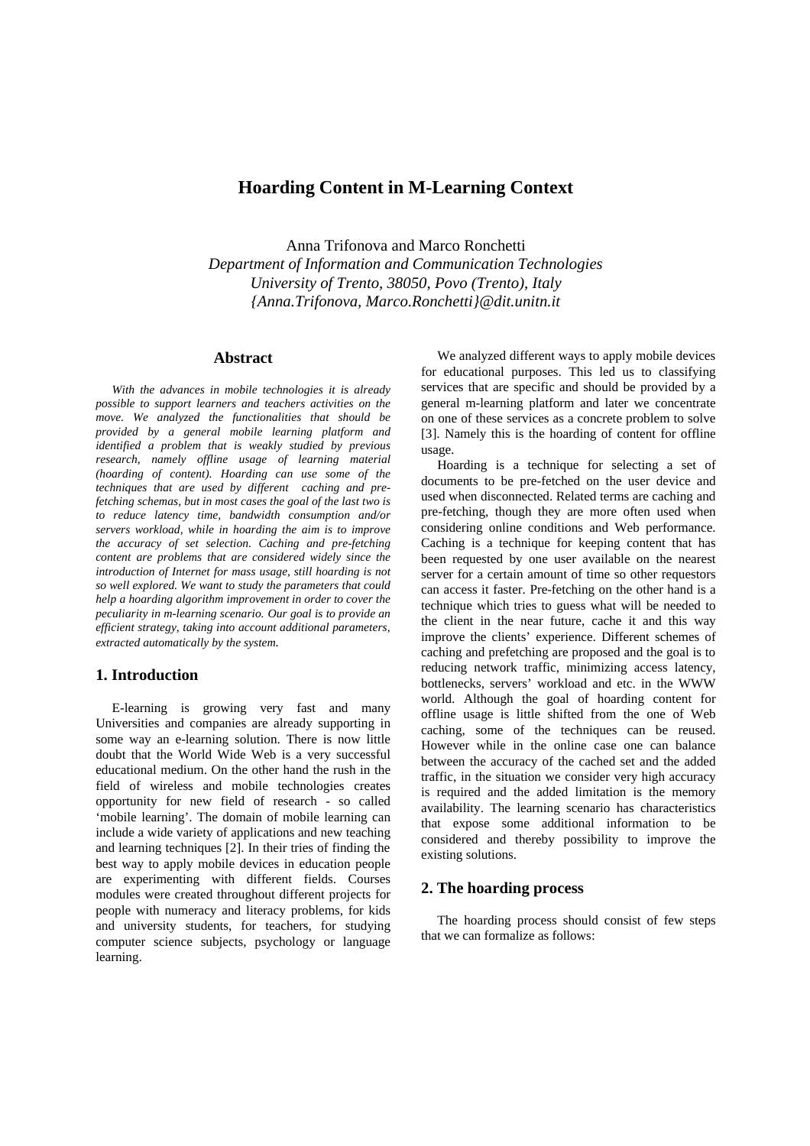# **Hoarding Content in M-Learning Context**

Anna Trifonova and Marco Ronchetti *Department of Information and Communication Technologies University of Trento, 38050, Povo (Trento), Italy {Anna.Trifonova, Marco.Ronchetti}@dit.unitn.it*

#### **Abstract**

*With the advances in mobile technologies it is already possible to support learners and teachers activities on the move. We analyzed the functionalities that should be provided by a general mobile learning platform and identified a problem that is weakly studied by previous research, namely offline usage of learning material (hoarding of content). Hoarding can use some of the techniques that are used by different caching and prefetching schemas, but in most cases the goal of the last two is to reduce latency time, bandwidth consumption and/or servers workload, while in hoarding the aim is to improve the accuracy of set selection. Caching and pre-fetching content are problems that are considered widely since the introduction of Internet for mass usage, still hoarding is not so well explored. We want to study the parameters that could help a hoarding algorithm improvement in order to cover the peculiarity in m-learning scenario. Our goal is to provide an efficient strategy, taking into account additional parameters, extracted automatically by the system.* 

#### **1. Introduction**

E-learning is growing very fast and many Universities and companies are already supporting in some way an e-learning solution. There is now little doubt that the World Wide Web is a very successful educational medium. On the other hand the rush in the field of wireless and mobile technologies creates opportunity for new field of research - so called 'mobile learning'. The domain of mobile learning can include a wide variety of applications and new teaching and learning techniques [2]. In their tries of finding the best way to apply mobile devices in education people are experimenting with different fields. Courses modules were created throughout different projects for people with numeracy and literacy problems, for kids and university students, for teachers, for studying computer science subjects, psychology or language learning.

We analyzed different ways to apply mobile devices for educational purposes. This led us to classifying services that are specific and should be provided by a general m-learning platform and later we concentrate on one of these services as a concrete problem to solve [3]. Namely this is the hoarding of content for offline usage.

Hoarding is a technique for selecting a set of documents to be pre-fetched on the user device and used when disconnected. Related terms are caching and pre-fetching, though they are more often used when considering online conditions and Web performance. Caching is a technique for keeping content that has been requested by one user available on the nearest server for a certain amount of time so other requestors can access it faster. Pre-fetching on the other hand is a technique which tries to guess what will be needed to the client in the near future, cache it and this way improve the clients' experience. Different schemes of caching and prefetching are proposed and the goal is to reducing network traffic, minimizing access latency, bottlenecks, servers' workload and etc. in the WWW world. Although the goal of hoarding content for offline usage is little shifted from the one of Web caching, some of the techniques can be reused. However while in the online case one can balance between the accuracy of the cached set and the added traffic, in the situation we consider very high accuracy is required and the added limitation is the memory availability. The learning scenario has characteristics that expose some additional information to be considered and thereby possibility to improve the existing solutions.

## **2. The hoarding process**

The hoarding process should consist of few steps that we can formalize as follows: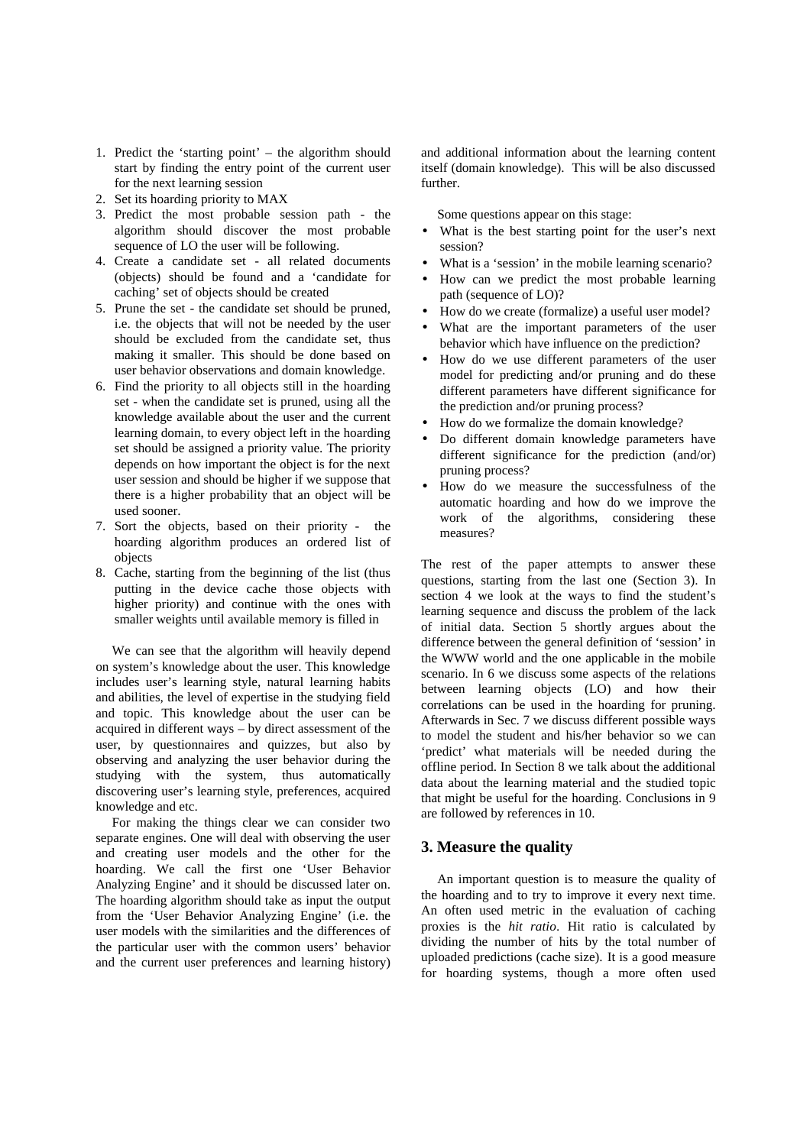- 1. Predict the 'starting point' the algorithm should start by finding the entry point of the current user for the next learning session
- 2. Set its hoarding priority to MAX
- 3. Predict the most probable session path the algorithm should discover the most probable sequence of LO the user will be following.
- 4. Create a candidate set all related documents (objects) should be found and a 'candidate for caching' set of objects should be created
- 5. Prune the set the candidate set should be pruned, i.e. the objects that will not be needed by the user should be excluded from the candidate set, thus making it smaller. This should be done based on user behavior observations and domain knowledge.
- 6. Find the priority to all objects still in the hoarding set - when the candidate set is pruned, using all the knowledge available about the user and the current learning domain, to every object left in the hoarding set should be assigned a priority value. The priority depends on how important the object is for the next user session and should be higher if we suppose that there is a higher probability that an object will be used sooner.
- 7. Sort the objects, based on their priority the hoarding algorithm produces an ordered list of objects
- 8. Cache, starting from the beginning of the list (thus putting in the device cache those objects with higher priority) and continue with the ones with smaller weights until available memory is filled in

We can see that the algorithm will heavily depend on system's knowledge about the user. This knowledge includes user's learning style, natural learning habits and abilities, the level of expertise in the studying field and topic. This knowledge about the user can be acquired in different ways – by direct assessment of the user, by questionnaires and quizzes, but also by observing and analyzing the user behavior during the studying with the system, thus automatically discovering user's learning style, preferences, acquired knowledge and etc.

For making the things clear we can consider two separate engines. One will deal with observing the user and creating user models and the other for the hoarding. We call the first one 'User Behavior Analyzing Engine' and it should be discussed later on. The hoarding algorithm should take as input the output from the 'User Behavior Analyzing Engine' (i.e. the user models with the similarities and the differences of the particular user with the common users' behavior and the current user preferences and learning history)

and additional information about the learning content itself (domain knowledge). This will be also discussed further.

Some questions appear on this stage:

- What is the best starting point for the user's next session?
- What is a 'session' in the mobile learning scenario?
- How can we predict the most probable learning path (sequence of LO)?
- How do we create (formalize) a useful user model?
- What are the important parameters of the user behavior which have influence on the prediction?
- How do we use different parameters of the user model for predicting and/or pruning and do these different parameters have different significance for the prediction and/or pruning process?
- How do we formalize the domain knowledge?
- Do different domain knowledge parameters have different significance for the prediction (and/or) pruning process?
- How do we measure the successfulness of the automatic hoarding and how do we improve the work of the algorithms, considering these measures?

The rest of the paper attempts to answer these questions, starting from the last one (Section 3). In section 4 we look at the ways to find the student's learning sequence and discuss the problem of the lack of initial data. Section 5 shortly argues about the difference between the general definition of 'session' in the WWW world and the one applicable in the mobile scenario. In 6 we discuss some aspects of the relations between learning objects (LO) and how their correlations can be used in the hoarding for pruning. Afterwards in Sec. 7 we discuss different possible ways to model the student and his/her behavior so we can 'predict' what materials will be needed during the offline period. In Section 8 we talk about the additional data about the learning material and the studied topic that might be useful for the hoarding. Conclusions in 9 are followed by references in 10.

## **3. Measure the quality**

An important question is to measure the quality of the hoarding and to try to improve it every next time. An often used metric in the evaluation of caching proxies is the *hit ratio*. Hit ratio is calculated by dividing the number of hits by the total number of uploaded predictions (cache size). It is a good measure for hoarding systems, though a more often used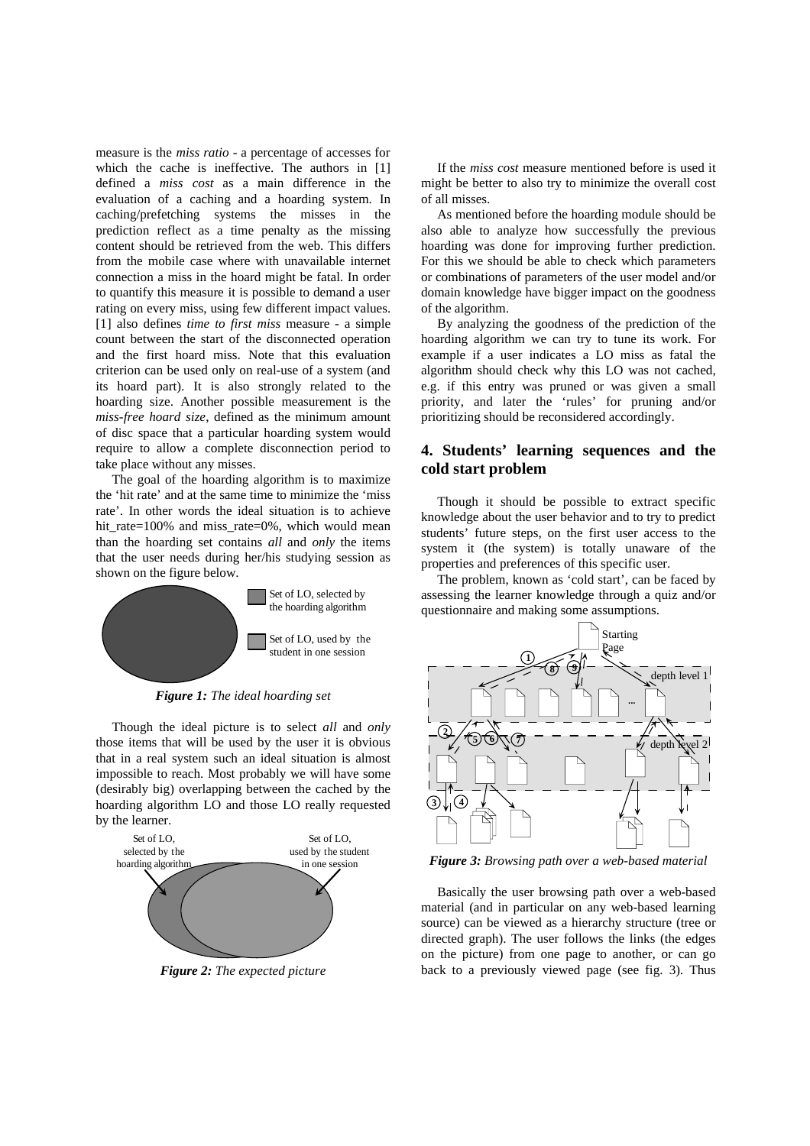measure is the *miss ratio* - a percentage of accesses for which the cache is ineffective. The authors in [1] defined a *miss cost* as a main difference in the evaluation of a caching and a hoarding system. In caching/prefetching systems the misses in the prediction reflect as a time penalty as the missing content should be retrieved from the web. This differs from the mobile case where with unavailable internet connection a miss in the hoard might be fatal. In order to quantify this measure it is possible to demand a user rating on every miss, using few different impact values. [1] also defines *time to first miss* measure - a simple count between the start of the disconnected operation and the first hoard miss. Note that this evaluation criterion can be used only on real-use of a system (and its hoard part). It is also strongly related to the hoarding size. Another possible measurement is the *miss-free hoard size*, defined as the minimum amount of disc space that a particular hoarding system would require to allow a complete disconnection period to take place without any misses.

The goal of the hoarding algorithm is to maximize the 'hit rate' and at the same time to minimize the 'miss rate'. In other words the ideal situation is to achieve hit\_rate=100% and miss\_rate=0%, which would mean than the hoarding set contains *all* and *only* the items that the user needs during her/his studying session as shown on the figure below.



*Figure 1: The ideal hoarding set*

Though the ideal picture is to select *all* and *only* those items that will be used by the user it is obvious that in a real system such an ideal situation is almost impossible to reach. Most probably we will have some (desirably big) overlapping between the cached by the hoarding algorithm LO and those LO really requested by the learner.



*Figure 2: The expected picture*

If the *miss cost* measure mentioned before is used it might be better to also try to minimize the overall cost of all misses.

As mentioned before the hoarding module should be also able to analyze how successfully the previous hoarding was done for improving further prediction. For this we should be able to check which parameters or combinations of parameters of the user model and/or domain knowledge have bigger impact on the goodness of the algorithm.

By analyzing the goodness of the prediction of the hoarding algorithm we can try to tune its work. For example if a user indicates a LO miss as fatal the algorithm should check why this LO was not cached, e.g. if this entry was pruned or was given a small priority, and later the 'rules' for pruning and/or prioritizing should be reconsidered accordingly.

## **4. Students' learning sequences and the cold start problem**

Though it should be possible to extract specific knowledge about the user behavior and to try to predict students' future steps, on the first user access to the system it (the system) is totally unaware of the properties and preferences of this specific user.

The problem, known as 'cold start', can be faced by assessing the learner knowledge through a quiz and/or questionnaire and making some assumptions.



*Figure 3: Browsing path over a web-based material*

Basically the user browsing path over a web-based material (and in particular on any web-based learning source) can be viewed as a hierarchy structure (tree or directed graph). The user follows the links (the edges on the picture) from one page to another, or can go back to a previously viewed page (see fig. 3). Thus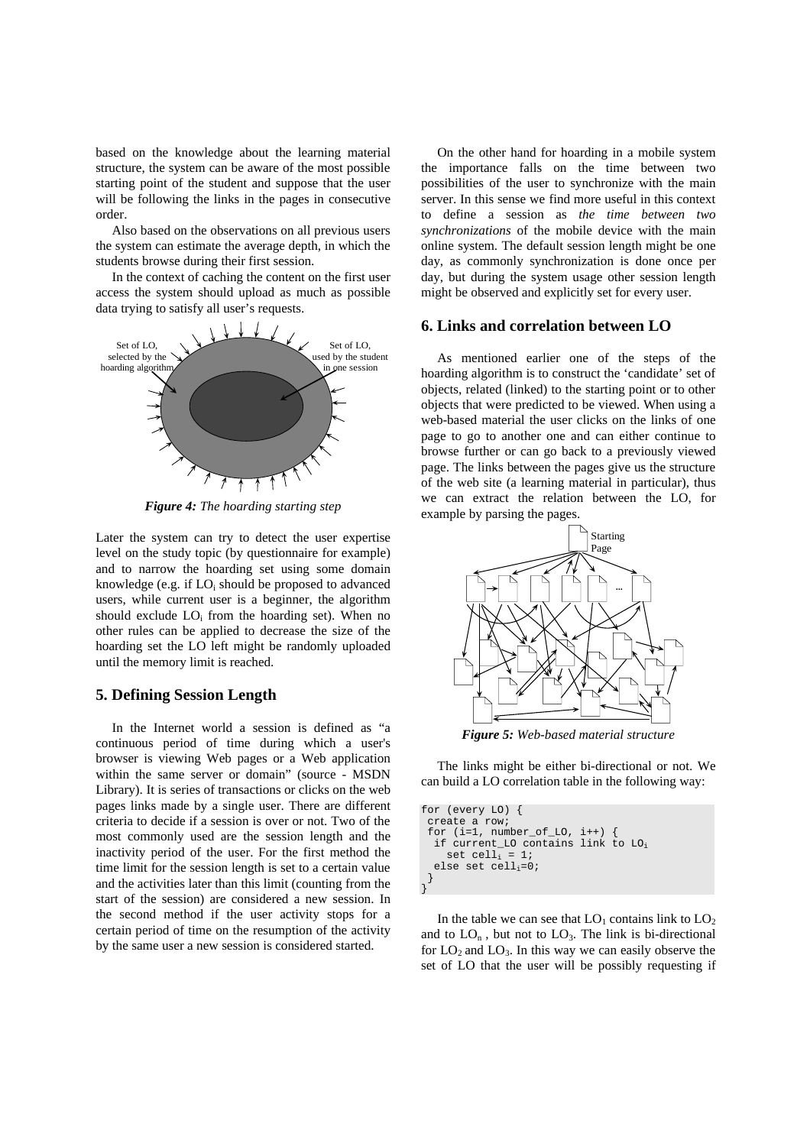based on the knowledge about the learning material structure, the system can be aware of the most possible starting point of the student and suppose that the user will be following the links in the pages in consecutive order.

Also based on the observations on all previous users the system can estimate the average depth, in which the students browse during their first session.

In the context of caching the content on the first user access the system should upload as much as possible data trying to satisfy all user's requests.



*Figure 4: The hoarding starting step*

Later the system can try to detect the user expertise level on the study topic (by questionnaire for example) and to narrow the hoarding set using some domain knowledge (e.g. if LO<sub>i</sub> should be proposed to advanced users, while current user is a beginner, the algorithm should exclude LO<sub>i</sub> from the hoarding set). When no other rules can be applied to decrease the size of the hoarding set the LO left might be randomly uploaded until the memory limit is reached.

#### **5. Defining Session Length**

In the Internet world a session is defined as "a continuous period of time during which a user's browser is viewing Web pages or a Web application within the same server or domain" (source - MSDN Library). It is series of transactions or clicks on the web pages links made by a single user. There are different criteria to decide if a session is over or not. Two of the most commonly used are the session length and the inactivity period of the user. For the first method the time limit for the session length is set to a certain value and the activities later than this limit (counting from the start of the session) are considered a new session. In the second method if the user activity stops for a certain period of time on the resumption of the activity by the same user a new session is considered started.

On the other hand for hoarding in a mobile system the importance falls on the time between two possibilities of the user to synchronize with the main server. In this sense we find more useful in this context to define a session as *the time between two synchronizations* of the mobile device with the main online system. The default session length might be one day, as commonly synchronization is done once per day, but during the system usage other session length might be observed and explicitly set for every user.

## **6. Links and correlation between LO**

As mentioned earlier one of the steps of the hoarding algorithm is to construct the 'candidate' set of objects, related (linked) to the starting point or to other objects that were predicted to be viewed. When using a web-based material the user clicks on the links of one page to go to another one and can either continue to browse further or can go back to a previously viewed page. The links between the pages give us the structure of the web site (a learning material in particular), thus we can extract the relation between the LO, for example by parsing the pages.



*Figure 5: Web-based material structure*

The links might be either bi-directional or not. We can build a LO correlation table in the following way:

```
for (every LO) {
  create a row;
  for (i=1, number_of_LO, i++) {
   if current_LO contains link to LOi
    set celli = 1;
  else set cell<sub>i</sub>=0;
  }
}
```
In the table we can see that  $LO_1$  contains link to  $LO_2$ and to  $LO_n$ , but not to  $LO_3$ . The link is bi-directional for  $LO_2$  and  $LO_3$ . In this way we can easily observe the set of LO that the user will be possibly requesting if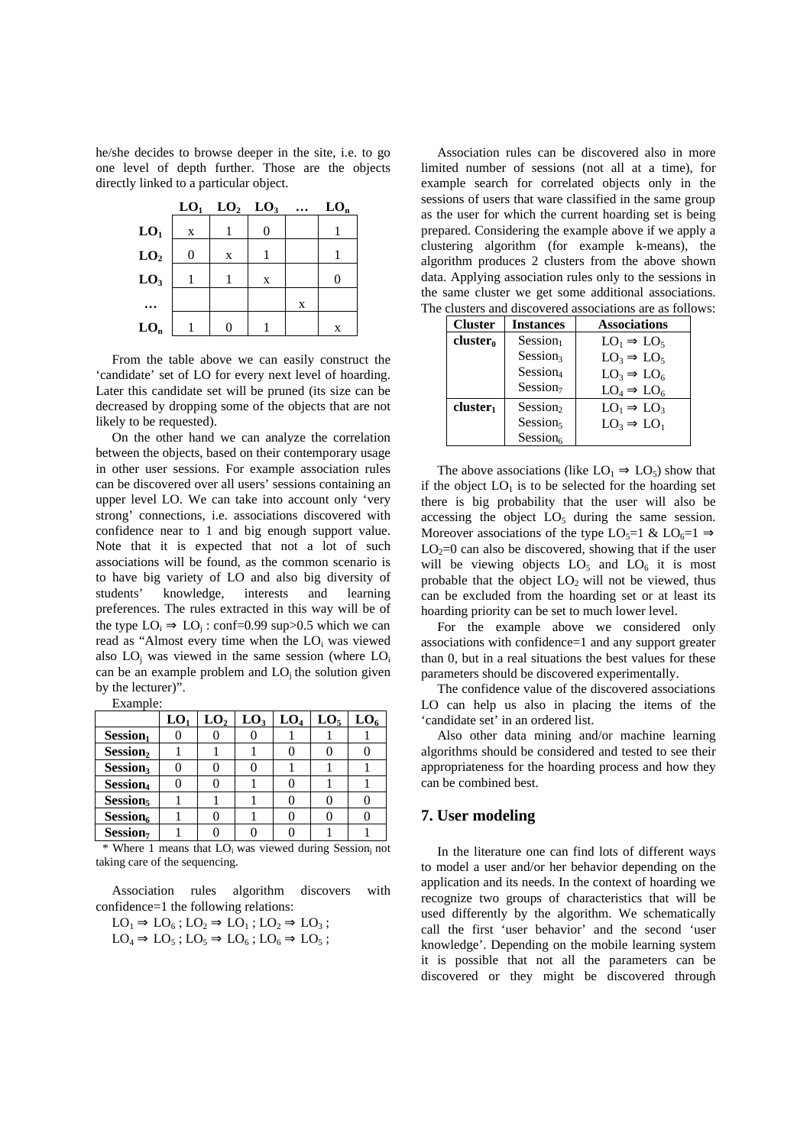he/she decides to browse deeper in the site, i.e. to go one level of depth further. Those are the objects directly linked to a particular object.

|                 |   | $LO_1$ $LO_2$ $LO_3$ |   | $\cdots$ | $LO_n$ |
|-----------------|---|----------------------|---|----------|--------|
| LO <sub>1</sub> | X |                      | 0 |          |        |
| LO <sub>2</sub> | 0 | X                    |   |          |        |
| LO <sub>3</sub> |   |                      | X |          | $_{0}$ |
|                 |   |                      |   | X        |        |
| $LO_n$          |   | 0                    |   |          | X      |

From the table above we can easily construct the 'candidate' set of LO for every next level of hoarding. Later this candidate set will be pruned (its size can be decreased by dropping some of the objects that are not likely to be requested).

On the other hand we can analyze the correlation between the objects, based on their contemporary usage in other user sessions. For example association rules can be discovered over all users' sessions containing an upper level LO. We can take into account only 'very strong' connections, i.e. associations discovered with confidence near to 1 and big enough support value. Note that it is expected that not a lot of such associations will be found, as the common scenario is to have big variety of LO and also big diversity of students' knowledge, interests and learning preferences. The rules extracted in this way will be of the type  $LO_i \Rightarrow LO_j : conf=0.99 \text{ sup}>0.5 \text{ which we can}$ read as "Almost every time when the LO<sub>i</sub> was viewed also  $LO_j$  was viewed in the same session (where  $LO_i$ can be an example problem and  $LO<sub>i</sub>$  the solution given by the lecturer)".

Example:

|                      | LO <sub>1</sub> | LO <sub>2</sub> | LO <sub>3</sub> | LO <sub>4</sub> | LO <sub>5</sub> | LO <sub>6</sub> |
|----------------------|-----------------|-----------------|-----------------|-----------------|-----------------|-----------------|
| Session <sub>1</sub> |                 |                 |                 |                 |                 |                 |
| Session <sub>2</sub> |                 |                 |                 |                 |                 |                 |
| Session <sub>3</sub> |                 |                 |                 |                 |                 |                 |
| Session <sub>4</sub> |                 |                 |                 |                 |                 |                 |
| Session <sub>5</sub> |                 |                 |                 |                 |                 |                 |
| Session <sub>6</sub> |                 |                 |                 |                 |                 |                 |
| Session <sub>7</sub> |                 |                 |                 |                 |                 |                 |

\* Where 1 means that LO<sub>i</sub> was viewed during Session<sub>i</sub> not taking care of the sequencing.

Association rules algorithm discovers with confidence=1 the following relations:

$$
LO1 \Rightarrow LO6; LO2 \Rightarrow LO1; LO2 \Rightarrow LO3; LO4 \Rightarrow LO5; LO5 \Rightarrow LO6; LO6 \Rightarrow LO5;.
$$

Association rules can be discovered also in more limited number of sessions (not all at a time), for example search for correlated objects only in the sessions of users that ware classified in the same group as the user for which the current hoarding set is being prepared. Considering the example above if we apply a clustering algorithm (for example k-means), the algorithm produces 2 clusters from the above shown data. Applying association rules only to the sessions in the same cluster we get some additional associations. The clusters and discovered associations are as follows:

| <b>Cluster</b>       | <b>Instances</b>     | <b>Associations</b>     |  |  |
|----------------------|----------------------|-------------------------|--|--|
| cluster <sub>0</sub> | Session <sub>1</sub> | $LO_1 \Rightarrow LO_5$ |  |  |
|                      | Session <sub>3</sub> | $LO_3 \Rightarrow LO_5$ |  |  |
|                      | Session <sub>4</sub> | $LO_3 \Rightarrow LO_6$ |  |  |
|                      | Session <sub>7</sub> | $LO_4 \Rightarrow LO_6$ |  |  |
| $cluster_1$          | Session <sub>2</sub> | $LO_1 \Rightarrow LO_3$ |  |  |
|                      | Session,             | $LO_3 \Rightarrow LO_1$ |  |  |
|                      | Session <sub>6</sub> |                         |  |  |

The above associations (like  $LO_1 \Rightarrow LO_5$ ) show that if the object  $LO_1$  is to be selected for the hoarding set there is big probability that the user will also be accessing the object  $LO<sub>5</sub>$  during the same session. Moreover associations of the type LO<sub>5</sub>=1 & LO<sub>6</sub>=1  $\Rightarrow$  $LO<sub>2</sub>=0$  can also be discovered, showing that if the user will be viewing objects  $LO_5$  and  $LO_6$  it is most probable that the object  $LO_2$  will not be viewed, thus can be excluded from the hoarding set or at least its hoarding priority can be set to much lower level.

For the example above we considered only associations with confidence=1 and any support greater than 0, but in a real situations the best values for these parameters should be discovered experimentally.

The confidence value of the discovered associations LO can help us also in placing the items of the 'candidate set' in an ordered list.

Also other data mining and/or machine learning algorithms should be considered and tested to see their appropriateness for the hoarding process and how they can be combined best.

#### **7. User modeling**

In the literature one can find lots of different ways to model a user and/or her behavior depending on the application and its needs. In the context of hoarding we recognize two groups of characteristics that will be used differently by the algorithm. We schematically call the first 'user behavior' and the second 'user knowledge'. Depending on the mobile learning system it is possible that not all the parameters can be discovered or they might be discovered through